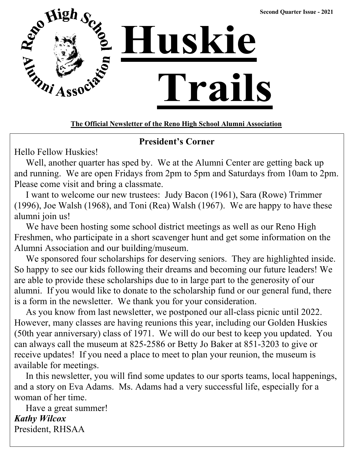

**The Official Newsletter of the Reno High School Alumni Association**

# **President's Corner**

Hello Fellow Huskies!

 Well, another quarter has sped by. We at the Alumni Center are getting back up and running. We are open Fridays from 2pm to 5pm and Saturdays from 10am to 2pm. Please come visit and bring a classmate.

 I want to welcome our new trustees: Judy Bacon (1961), Sara (Rowe) Trimmer (1996), Joe Walsh (1968), and Toni (Rea) Walsh (1967). We are happy to have these alumni join us!

 We have been hosting some school district meetings as well as our Reno High Freshmen, who participate in a short scavenger hunt and get some information on the Alumni Association and our building/museum.

are able to provide these scholarships due to in large part to the generosity of our alumni. If you would like to donate to the scholarship fund or our general fund, there is a form in the newsletter. We thank you for your consideration. We sponsored four scholarships for deserving seniors. They are highlighted inside. So happy to see our kids following their dreams and becoming our future leaders! We

As you know from last newsletter, we postponed our all-class picnic until 2022. However, many classes are having reunions this year, including our Golden Huskies  $b_{\text{obs}}$  most lasting accompany and  $b_{\text{max}}$  and  $b_{\text{max}}$  and  $b_{\text{max}}$  and supervising  $b_{\text{max}}$  and supervising the supervision of  $b_{\text{max}}$ our year anniversary) class of 1971. We will do our oest to keep you apuated. Four  $\frac{1}{100}$ can always call the museum at 825-2586 or Betty Jo Baker at 851-3203 to give or receive updates! If you need a place to meet to plan your reunion, the museum is  $\frac{1}{2}$ returned to Reno and enjoyed to Reno and enjoyed the rest of  $\frac{1}{2}$  unit she passed and August on August 2014 (50th year anniversary) class of 1971. We will do our best to keep you updated. You available for meetings.

In this newsletter, you will find some updates to our sports teams, local happenings, and a story on Eva Adams. Ms. Adams had a very successful life, especially for a Woman of her time.

Have a great summer! *Kathy Wilcox* President, RHSAA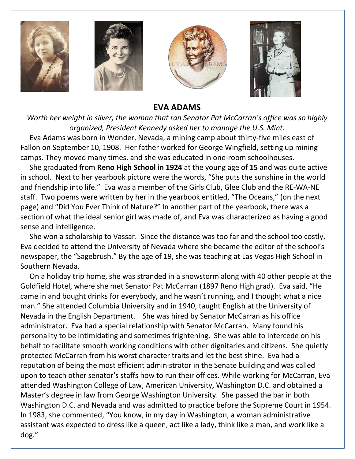

#### **EVA ADAMS**

*Worth her weight in silver, the woman that ran Senator Pat McCarran's office was so highly organized, President Kennedy asked her to manage the U.S. Mint.*

 Eva Adams was born in Wonder, Nevada, a mining camp about thirty-five miles east of Fallon on September 10, 1908. Her father worked for George Wingfield, setting up mining camps. They moved many times. and she was educated in one-room schoolhouses.

 She graduated from **Reno High School in 1924** at the young age of **15** and was quite active in school. Next to her yearbook picture were the words, "She puts the sunshine in the world and friendship into life." Eva was a member of the Girls Club, Glee Club and the RE-WA-NE staff. Two poems were written by her in the yearbook entitled, "The Oceans," (on the next page) and "Did You Ever Think of Nature?" In another part of the yearbook, there was a section of what the ideal senior girl was made of, and Eva was characterized as having a good sense and intelligence.

 She won a scholarship to Vassar. Since the distance was too far and the school too costly, Eva decided to attend the University of Nevada where she became the editor of the school's newspaper, the "Sagebrush." By the age of 19, she was teaching at Las Vegas High School in Southern Nevada.

 On a holiday trip home, she was stranded in a snowstorm along with 40 other people at the Goldfield Hotel, where she met Senator Pat McCarran (1897 Reno High grad). Eva said, "He came in and bought drinks for everybody, and he wasn't running, and I thought what a nice man." She attended Columbia University and in 1940, taught English at the University of Nevada in the English Department. She was hired by Senator McCarran as his office administrator. Eva had a special relationship with Senator McCarran. Many found his personality to be intimidating and sometimes frightening. She was able to intercede on his behalf to facilitate smooth working conditions with other dignitaries and citizens. She quietly protected McCarran from his worst character traits and let the best shine. Eva had a reputation of being the most efficient administrator in the Senate building and was called upon to teach other senator's staffs how to run their offices. While working for McCarran, Eva attended Washington College of Law, American University, Washington D.C. and obtained a Master's degree in law from George Washington University. She passed the bar in both Washington D.C. and Nevada and was admitted to practice before the Supreme Court in 1954. In 1983, she commented, "You know, in my day in Washington, a woman administrative assistant was expected to dress like a queen, act like a lady, think like a man, and work like a dog."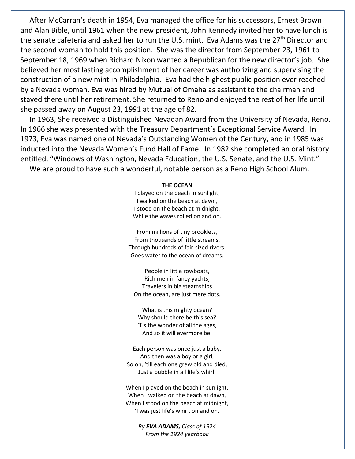After McCarran's death in 1954, Eva managed the office for his successors, Ernest Brown and Alan Bible, until 1961 when the new president, John Kennedy invited her to have lunch is the senate cafeteria and asked her to run the U.S. mint. Eva Adams was the 27<sup>th</sup> Director and the second woman to hold this position. She was the director from September 23, 1961 to September 18, 1969 when Richard Nixon wanted a Republican for the new director's job. She believed her most lasting accomplishment of her career was authorizing and supervising the construction of a new mint in Philadelphia. Eva had the highest public position ever reached by a Nevada woman. Eva was hired by Mutual of Omaha as assistant to the chairman and stayed there until her retirement. She returned to Reno and enjoyed the rest of her life until she passed away on August 23, 1991 at the age of 82.

 In 1963, She received a Distinguished Nevadan Award from the University of Nevada, Reno. In 1966 she was presented with the Treasury Department's Exceptional Service Award. In 1973, Eva was named one of Nevada's Outstanding Women of the Century, and in 1985 was inducted into the Nevada Women's Fund Hall of Fame. In 1982 she completed an oral history entitled, "Windows of Washington, Nevada Education, the U.S. Senate, and the U.S. Mint."

We are proud to have such a wonderful, notable person as a Reno High School Alum.

#### **THE OCEAN**

I played on the beach in sunlight, I walked on the beach at dawn, I stood on the beach at midnight, While the waves rolled on and on.

From millions of tiny brooklets, From thousands of little streams, Through hundreds of fair-sized rivers. Goes water to the ocean of dreams.

People in little rowboats, Rich men in fancy yachts, Travelers in big steamships On the ocean, are just mere dots.

What is this mighty ocean? Why should there be this sea? 'Tis the wonder of all the ages, And so it will evermore be.

Each person was once just a baby, And then was a boy or a girl, So on, 'till each one grew old and died, Just a bubble in all life's whirl.

When I played on the beach in sunlight, When I walked on the beach at dawn, When I stood on the beach at midnight, 'Twas just life's whirl, on and on.

> *By EVA ADAMS, Class of 1924 From the 1924 yearbook*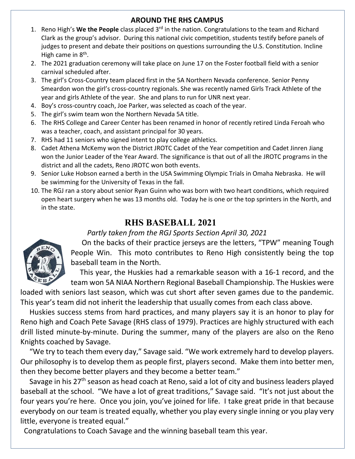#### **AROUND THE RHS CAMPUS**

- 1. Reno High's **We the People** class placed 3rd in the nation. Congratulations to the team and Richard Clark as the group's advisor. During this national civic competition, students testify before panels of judges to present and debate their positions on questions surrounding the U.S. Constitution. Incline High came in  $8<sup>th</sup>$ .
- 2. The 2021 graduation ceremony will take place on June 17 on the Foster football field with a senior carnival scheduled after.
- 3. The girl's Cross-Country team placed first in the 5A Northern Nevada conference. Senior Penny Smeardon won the girl's cross-country regionals. She was recently named Girls Track Athlete of the year and girls Athlete of the year. She and plans to run for UNR next year.
- 4. Boy's cross-country coach, Joe Parker, was selected as coach of the year.
- 5. The girl's swim team won the Northern Nevada 5A title.
- 6. The RHS College and Career Center has been renamed in honor of recently retired Linda Feroah who was a teacher, coach, and assistant principal for 30 years.
- 7. RHS had 11 seniors who signed intent to play college athletics.
- 8. Cadet Athena McKemy won the District JROTC Cadet of the Year competition and Cadet Jinren Jiang won the Junior Leader of the Year Award. The significance is that out of all the JROTC programs in the district and all the cadets, Reno JROTC won both events.
- 9. Senior Luke Hobson earned a berth in the USA Swimming Olympic Trials in Omaha Nebraska. He will be swimming for the University of Texas in the fall.
- 10. The RGJ ran a story about senior Ryan Guinn who was born with two heart conditions, which required open heart surgery when he was 13 months old. Today he is one or the top sprinters in the North, and in the state.

# **RHS BASEBALL 2021**

# *Partly taken from the RGJ Sports Section April 30, 2021*



 On the backs of their practice jerseys are the letters, "TPW" meaning Tough People Win. This moto contributes to Reno High consistently being the top baseball team in the North.

 This year, the Huskies had a remarkable season with a 16-1 record, and the team won 5A NIAA Northern Regional Baseball Championship. The Huskies were

loaded with seniors last season, which was cut short after seven games due to the pandemic. This year's team did not inherit the leadership that usually comes from each class above.

 Huskies success stems from hard practices, and many players say it is an honor to play for Reno high and Coach Pete Savage (RHS class of 1979). Practices are highly structured with each drill listed minute-by-minute. During the summer, many of the players are also on the Reno Knights coached by Savage.

 "We try to teach them every day," Savage said. "We work extremely hard to develop players. Our philosophy is to develop them as people first, players second. Make them into better men, then they become better players and they become a better team."

Savage in his 27<sup>th</sup> season as head coach at Reno, said a lot of city and business leaders played baseball at the school. "We have a lot of great traditions," Savage said. "It's not just about the four years you're here. Once you join, you've joined for life. I take great pride in that because everybody on our team is treated equally, whether you play every single inning or you play very little, everyone is treated equal."

Congratulations to Coach Savage and the winning baseball team this year.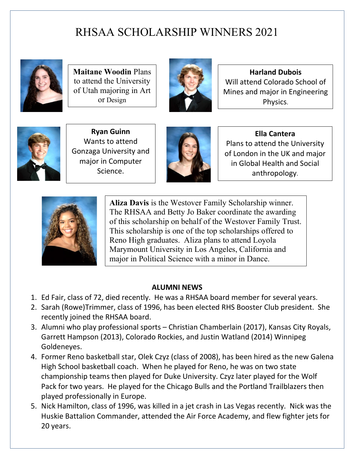# RHSAA SCHOLARSHIP WINNERS 2021



**Maitane Woodin** Plans to attend the University of Utah majoring in Art or Design



**Harland Dubois** Will attend Colorado School of Mines and major in Engineering Physics.



**Ryan Guinn** Wants to attend Gonzaga University and major in Computer Science.



**Ella Cantera** Plans to attend the University of London in the UK and major in Global Health and Social anthropology.



**Aliza Davis** is the Westover Family Scholarship winner. The RHSAA and Betty Jo Baker coordinate the awarding of this scholarship on behalf of the Westover Family Trust. This scholarship is one of the top scholarships offered to Reno High graduates. Aliza plans to attend Loyola Marymount University in Los Angeles, California and major in Political Science with a minor in Dance.

# **ALUMNI NEWS**

- 1. Ed Fair, class of 72, died recently. He was a RHSAA board member for several years.
- 2. Sarah (Rowe)Trimmer, class of 1996, has been elected RHS Booster Club president. She recently joined the RHSAA board.
- 3. Alumni who play professional sports Christian Chamberlain (2017), Kansas City Royals, Garrett Hampson (2013), Colorado Rockies, and Justin Watland (2014) Winnipeg Goldeneyes.
- 4. Former Reno basketball star, Olek Czyz (class of 2008), has been hired as the new Galena High School basketball coach. When he played for Reno, he was on two state championship teams then played for Duke University. Czyz later played for the Wolf Pack for two years. He played for the Chicago Bulls and the Portland Trailblazers then played professionally in Europe.
- 5. Nick Hamilton, class of 1996, was killed in a jet crash in Las Vegas recently. Nick was the Huskie Battalion Commander, attended the Air Force Academy, and flew fighter jets for 20 years.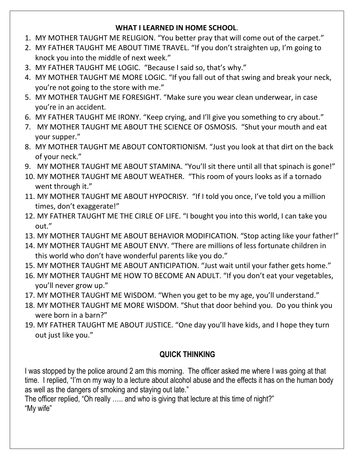#### **WHAT I LEARNED IN HOME SCHOOL**.

- 1. MY MOTHER TAUGHT ME RELIGION. "You better pray that will come out of the carpet."
- 2. MY FATHER TAUGHT ME ABOUT TIME TRAVEL. "If you don't straighten up, I'm going to knock you into the middle of next week."
- 3. MY FATHER TAUGHT ME LOGIC. "Because I said so, that's why."
- 4. MY MOTHER TAUGHT ME MORE LOGIC. "If you fall out of that swing and break your neck, you're not going to the store with me."
- 5. MY MOTHER TAUGHT ME FORESIGHT. "Make sure you wear clean underwear, in case you're in an accident.
- 6. MY FATHER TAUGHT ME IRONY. "Keep crying, and I'll give you something to cry about."
- 7. MY MOTHER TAUGHT ME ABOUT THE SCIENCE OF OSMOSIS. "Shut your mouth and eat your supper."
- 8. MY MOTHER TAUGHT ME ABOUT CONTORTIONISM. "Just you look at that dirt on the back of your neck."
- 9. MY MOTHER TAUGHT ME ABOUT STAMINA. "You'll sit there until all that spinach is gone!"
- 10. MY MOTHER TAUGHT ME ABOUT WEATHER. "This room of yours looks as if a tornado went through it."
- 11. MY MOTHER TAUGHT ME ABOUT HYPOCRISY. "If I told you once, I've told you a million times, don't exaggerate!"
- 12. MY FATHER TAUGHT ME THE CIRLE OF LIFE. "I bought you into this world, I can take you out."
- 13. MY MOTHER TAUGHT ME ABOUT BEHAVIOR MODIFICATION. "Stop acting like your father!"
- 14. MY MOTHER TAUGHT ME ABOUT ENVY. "There are millions of less fortunate children in this world who don't have wonderful parents like you do."
- 15. MY MOTHER TAUGHT ME ABOUT ANTICIPATION. "Just wait until your father gets home."
- 16. MY MOTHER TAUGHT ME HOW TO BECOME AN ADULT. "If you don't eat your vegetables, you'll never grow up."
- 17. MY MOTHER TAUGHT ME WISDOM. "When you get to be my age, you'll understand."
- 18. MY MOTHER TAUGHT ME MORE WISDOM. "Shut that door behind you. Do you think you were born in a barn?"
- 19. MY FATHER TAUGHT ME ABOUT JUSTICE. "One day you'll have kids, and I hope they turn out just like you."

# **QUICK THINKING**

I was stopped by the police around 2 am this morning. The officer asked me where I was going at that time. I replied, "I'm on my way to a lecture about alcohol abuse and the effects it has on the human body as well as the dangers of smoking and staying out late."

The officer replied, "Oh really ….. and who is giving that lecture at this time of night?" "My wife"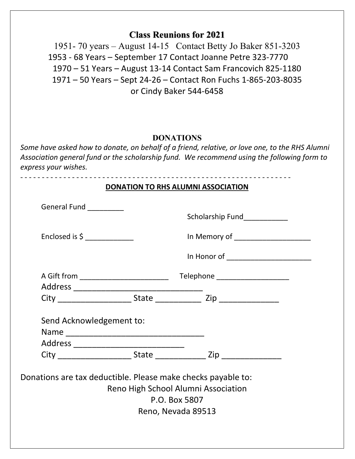# **Class Reunions for 2021**

 $\overline{a}$ 

1951- 70 years – August 14-15 Contact Betty Jo Baker 851-3203 1953 - 68 Years – September 17 Contact Joanne Petre 323-7770 1970 – 51 Years – August 13-14 Contact Sam Francovich 825-1180 1971 – 50 Years – Sept 24-26 – Contact Ron Fuchs 1-865-203-8035 or Cindy Baker 544-6458

#### **DONATIONS**

*Some have asked how to donate, on behalf of a friend, relative, or love one, to the RHS Alumni Association general fund or the scholarship fund. We recommend using the following form to express your wishes.*

| <b>DONATION TO RHS ALUMNI ASSOCIATION</b>                    |  |                                                                                                                                                                                                                                                        |  |
|--------------------------------------------------------------|--|--------------------------------------------------------------------------------------------------------------------------------------------------------------------------------------------------------------------------------------------------------|--|
| General Fund __________                                      |  | Scholarship Fund<br>Scholarship Fund<br>Scholarship Fund<br>Scholarship Fund<br>Scholarship Fund<br>Scholarship Fund<br>Scholarship Fund<br>Scholarship Fund<br>Scholarship Fund<br>Scholarship Fund<br>Scholarship Fund<br>Scholarship Fund<br>Schola |  |
| Enclosed is $\sim$                                           |  | In Memory of ______________________                                                                                                                                                                                                                    |  |
|                                                              |  | In Honor of _______________________                                                                                                                                                                                                                    |  |
|                                                              |  |                                                                                                                                                                                                                                                        |  |
|                                                              |  |                                                                                                                                                                                                                                                        |  |
| Send Acknowledgement to:                                     |  |                                                                                                                                                                                                                                                        |  |
|                                                              |  |                                                                                                                                                                                                                                                        |  |
| Donations are tax deductible. Please make checks payable to: |  | Reno High School Alumni Association<br>P.O. Box 5807<br>Reno, Nevada 89513                                                                                                                                                                             |  |